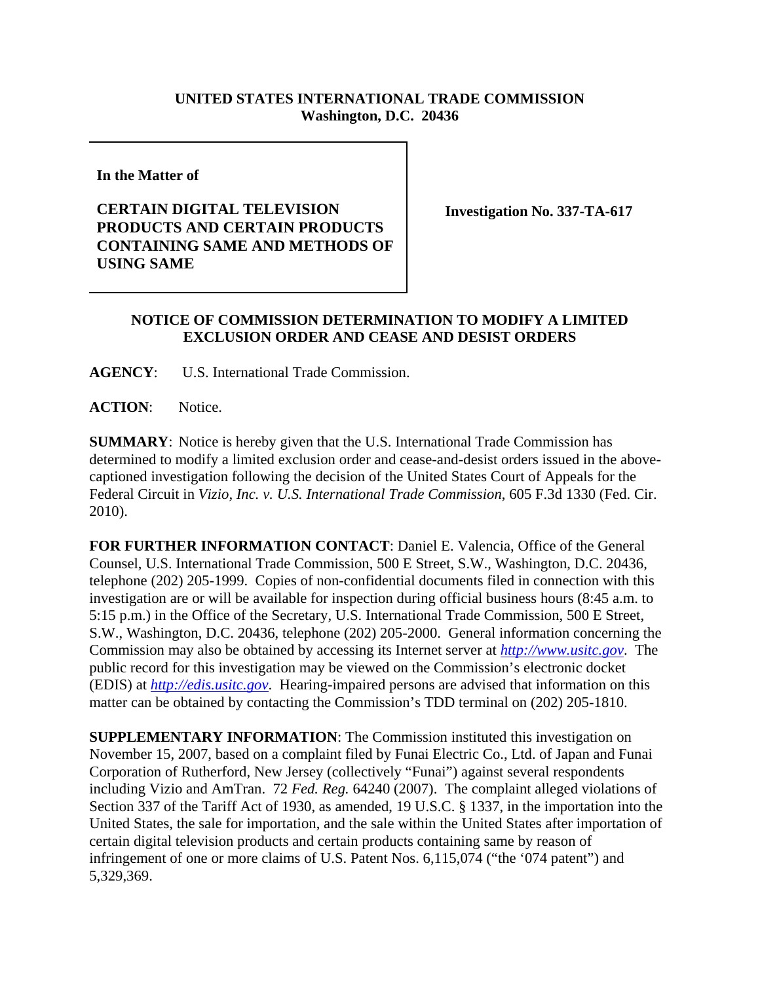## **UNITED STATES INTERNATIONAL TRADE COMMISSION Washington, D.C. 20436**

**In the Matter of** 

## **CERTAIN DIGITAL TELEVISION PRODUCTS AND CERTAIN PRODUCTS CONTAINING SAME AND METHODS OF USING SAME**

**Investigation No. 337-TA-617**

## **NOTICE OF COMMISSION DETERMINATION TO MODIFY A LIMITED EXCLUSION ORDER AND CEASE AND DESIST ORDERS**

**AGENCY**: U.S. International Trade Commission.

**ACTION**: Notice.

**SUMMARY**: Notice is hereby given that the U.S. International Trade Commission has determined to modify a limited exclusion order and cease-and-desist orders issued in the abovecaptioned investigation following the decision of the United States Court of Appeals for the Federal Circuit in *Vizio, Inc. v. U.S. International Trade Commission*, 605 F.3d 1330 (Fed. Cir. 2010).

**FOR FURTHER INFORMATION CONTACT**: Daniel E. Valencia, Office of the General Counsel, U.S. International Trade Commission, 500 E Street, S.W., Washington, D.C. 20436, telephone (202) 205-1999. Copies of non-confidential documents filed in connection with this investigation are or will be available for inspection during official business hours (8:45 a.m. to 5:15 p.m.) in the Office of the Secretary, U.S. International Trade Commission, 500 E Street, S.W., Washington, D.C. 20436, telephone (202) 205-2000. General information concerning the Commission may also be obtained by accessing its Internet server at *http://www.usitc.gov*. The public record for this investigation may be viewed on the Commission's electronic docket (EDIS) at *http://edis.usitc.gov*. Hearing-impaired persons are advised that information on this matter can be obtained by contacting the Commission's TDD terminal on (202) 205-1810.

**SUPPLEMENTARY INFORMATION**: The Commission instituted this investigation on November 15, 2007, based on a complaint filed by Funai Electric Co., Ltd. of Japan and Funai Corporation of Rutherford, New Jersey (collectively "Funai") against several respondents including Vizio and AmTran. 72 *Fed. Reg.* 64240 (2007). The complaint alleged violations of Section 337 of the Tariff Act of 1930, as amended, 19 U.S.C. § 1337, in the importation into the United States, the sale for importation, and the sale within the United States after importation of certain digital television products and certain products containing same by reason of infringement of one or more claims of U.S. Patent Nos. 6,115,074 ("the '074 patent") and 5,329,369.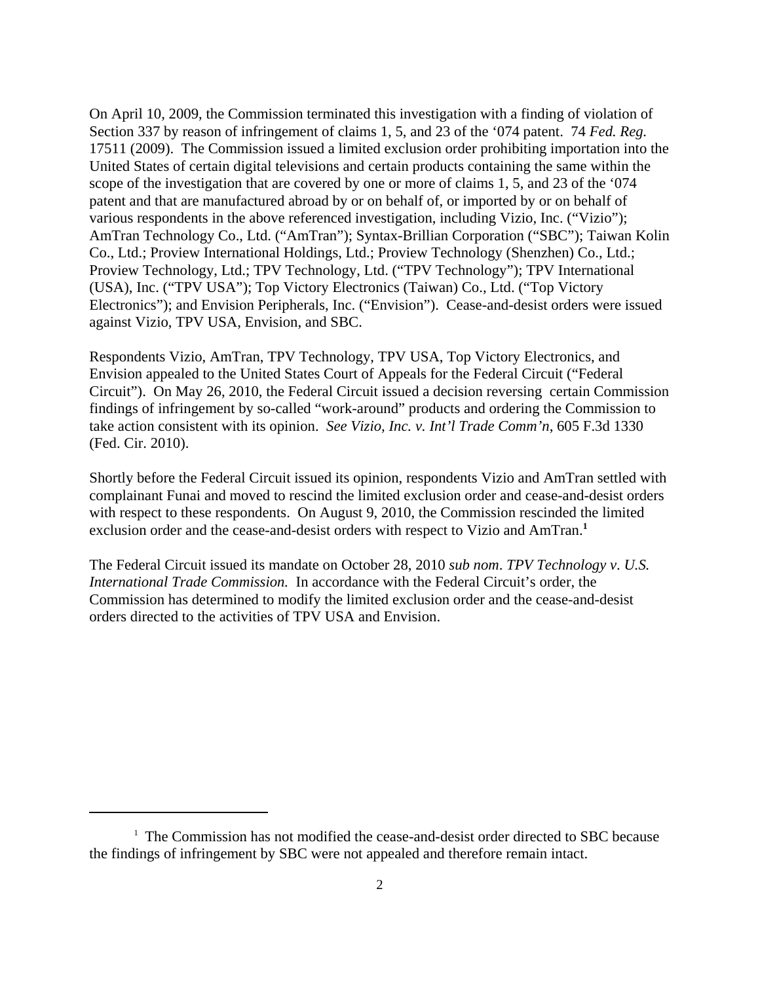On April 10, 2009, the Commission terminated this investigation with a finding of violation of Section 337 by reason of infringement of claims 1, 5, and 23 of the '074 patent. 74 *Fed. Reg.* 17511 (2009). The Commission issued a limited exclusion order prohibiting importation into the United States of certain digital televisions and certain products containing the same within the scope of the investigation that are covered by one or more of claims 1, 5, and 23 of the '074 patent and that are manufactured abroad by or on behalf of, or imported by or on behalf of various respondents in the above referenced investigation, including Vizio, Inc. ("Vizio"); AmTran Technology Co., Ltd. ("AmTran"); Syntax-Brillian Corporation ("SBC"); Taiwan Kolin Co., Ltd.; Proview International Holdings, Ltd.; Proview Technology (Shenzhen) Co., Ltd.; Proview Technology, Ltd.; TPV Technology, Ltd. ("TPV Technology"); TPV International (USA), Inc. ("TPV USA"); Top Victory Electronics (Taiwan) Co., Ltd. ("Top Victory Electronics"); and Envision Peripherals, Inc. ("Envision"). Cease-and-desist orders were issued against Vizio, TPV USA, Envision, and SBC.

Respondents Vizio, AmTran, TPV Technology, TPV USA, Top Victory Electronics, and Envision appealed to the United States Court of Appeals for the Federal Circuit ("Federal Circuit"). On May 26, 2010, the Federal Circuit issued a decision reversing certain Commission findings of infringement by so-called "work-around" products and ordering the Commission to take action consistent with its opinion. *See Vizio, Inc. v. Int'l Trade Comm'n*, 605 F.3d 1330 (Fed. Cir. 2010).

Shortly before the Federal Circuit issued its opinion, respondents Vizio and AmTran settled with complainant Funai and moved to rescind the limited exclusion order and cease-and-desist orders with respect to these respondents. On August 9, 2010, the Commission rescinded the limited exclusion order and the cease-and-desist orders with respect to Vizio and AmTran.**<sup>1</sup>**

The Federal Circuit issued its mandate on October 28, 2010 *sub nom*. *TPV Technology v*. *U.S. International Trade Commission.* In accordance with the Federal Circuit's order, the Commission has determined to modify the limited exclusion order and the cease-and-desist orders directed to the activities of TPV USA and Envision.

<sup>&</sup>lt;sup>1</sup> The Commission has not modified the cease-and-desist order directed to SBC because the findings of infringement by SBC were not appealed and therefore remain intact.